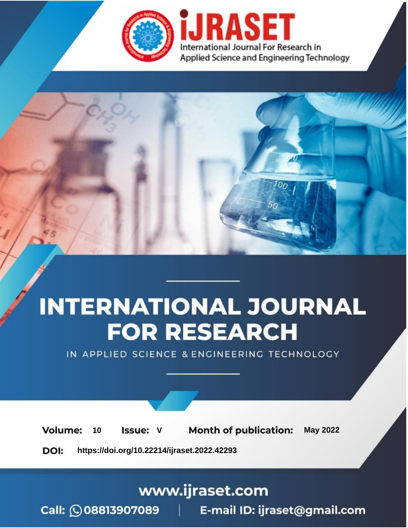

# **INTERNATIONAL JOURNAL FOR RESEARCH**

IN APPLIED SCIENCE & ENGINEERING TECHNOLOGY

Volume: **Month of publication: May 2022** 10 **Issue: V** 

DOI: https://doi.org/10.22214/ijraset.2022.42293

www.ijraset.com

Call: 008813907089 | E-mail ID: ijraset@gmail.com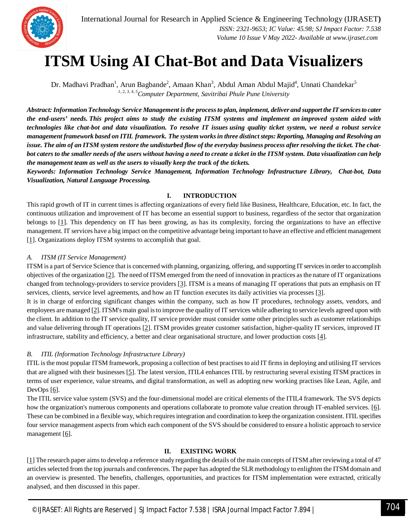

### **ITSM Using AI Chat-Bot and Data Visualizers**

Dr. Madhavi Pradhan<sup>1</sup>, Arun Bagbande<sup>2</sup>, Amaan Khan<sup>3</sup>, Abdul Aman Abdul Majid<sup>4</sup>, Unnati Chandekar<sup>5</sup> *1, 2, 3, 4, <sup>5</sup>Computer Department, Savitribai Phule Pune University*

*Abstract: Information Technology Service Management is the process to plan, implement, deliver and support the IT services to cater the end-users' needs. This project aims to study the existing ITSM systems and implement an improved system aided with technologies like chat-bot and data visualization. To resolve IT issues using quality ticket system, we need a robust service management framework based on ITIL framework. The system works in three distinct steps: Reporting, Managing and Resolving an issue. The aim of an ITSM system restore the undisturbed flow of the everyday business process after resolving the ticket. The chatbot caters to the smaller needs of the users without having a need to create a ticket in the ITSM system. Data visualization can help the management team as well as the users to visually keep the track of the tickets.*

*Keywords: Information Technology Service Management, Information Technology Infrastructure Library, Chat-bot, Data Visualization, Natural Language Processing.*

#### **I. INTRODUCTION**

This rapid growth of IT in current times is affecting organizations of every field like Business, Healthcare, Education, etc. In fact, the continuous utilization and improvement of IT has become an essential support to business, regardless of the sector that organization belongs to [1]. This dependency on IT has been growing, as has its complexity, forcing the organizations to have an effective management. IT services have a big impact on the competitive advantage being important to have an effective and efficient management [1]. Organizations deploy ITSM systems to accomplish that goal.

#### *A. ITSM (IT Service Management)*

ITSM is a part of Service Science that is concerned with planning, organizing, offering, and supporting IT services in order to accomplish objectives of the organization [2]. The need of ITSM emerged from the need of innovation in practices as the nature of IT organizations changed from technology-providers to service providers [3]. ITSM is a means of managing IT operations that puts an emphasis on IT services, clients, service level agreements, and how an IT function executes its daily activities via processes [3].

It is in charge of enforcing significant changes within the company, such as how IT procedures, technology assets, vendors, and employees are managed [2]. ITSM's main goal is to improve the quality of IT services while adhering to service levels agreed upon with the client. In addition to the IT service quality, IT service provider must consider some other principles such as customer relationships and value delivering through IT operations [2]. ITSM provides greater customer satisfaction, higher-quality IT services, improved IT infrastructure, stability and efficiency, a better and clear organisational structure, and lower production costs [4].

#### *B. ITIL (Information Technology Infrastructure Library)*

ITIL is the most popular ITSM framework, proposing a collection of best practises to aid IT firms in deploying and utilising IT services that are aligned with their businesses [5]. The latest version, ITIL4 enhances ITIL by restructuring several existing ITSM practices in terms of user experience, value streams, and digital transformation, as well as adopting new working practises like Lean, Agile, and DevOps [6].

The ITIL service value system (SVS) and the four-dimensional model are critical elements of the ITIL4 framework. The SVS depicts how the organization's numerous components and operations collaborate to promote value creation through IT-enabled services. [6]. These can be combined in a flexible way, which requires integration and coordination to keep the organization consistent. ITIL specifies four service management aspects from which each component of the SVS should be considered to ensure a holistic approach to service management [6].

#### **II. EXISTING WORK**

[1] The research paper aims to develop a reference study regarding the details of the main concepts of ITSM after reviewing a total of 47 articles selected from the top journals and conferences. The paper has adopted the SLR methodology to enlighten the ITSM domain and an overview is presented. The benefits, challenges, opportunities, and practices for ITSM implementation were extracted, critically analysed, and then discussed in this paper.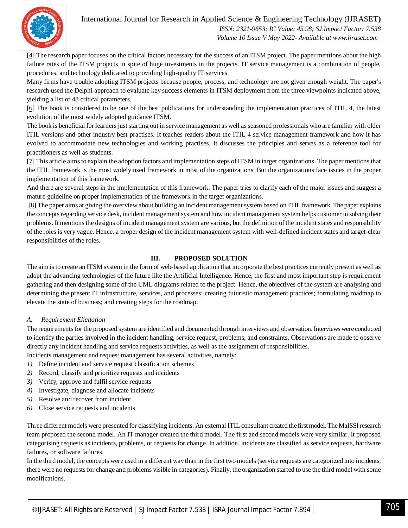#### International Journal for Research in Applied Science & Engineering Technology (IJRASET**)**



 *ISSN: 2321-9653; IC Value: 45.98; SJ Impact Factor: 7.538 Volume 10 Issue V May 2022- Available at www.ijraset.com*

[4] The research paper focuses on the critical factors necessary for the success of an ITSM project. The paper mentions about the high failure rates of the ITSM projects in spite of huge investments in the projects. IT service management is a combination of people, procedures, and technology dedicated to providing high-quality IT services.

Many firms have trouble adopting ITSM projects because people, process, and technology are not given enough weight. The paper's research used the Delphi approach to evaluate key success elements in ITSM deployment from the three viewpoints indicated above, yielding a list of 48 critical parameters.

[6] The book is considered to be one of the best publications for understanding the implementation practices of ITIL 4, the latest evolution of the most widely adopted guidance ITSM.

The book is beneficial for learners just starting out in service management as well as seasoned professionals who are familiar with older ITIL versions and other industry best practises. It teaches readers about the ITIL 4 service management framework and how it has evolved to accommodate new technologies and working practises. It discusses the principles and serves as a reference tool for practitioners as well as students.

[7] This article aims to explain the adoption factors and implementation steps of ITSM in target organizations. The paper mentions that the ITIL framework is the most widely used framework in most of the organizations. But the organizations face issues in the proper implementation of this framework.

And there are several steps in the implementation of this framework. The paper tries to clarify each of the major issues and suggest a mature guideline on proper implementation of the framework in the target organizations.

[8] The paper aims at giving the overview about building an incident management system based on ITIL framework. The paper explains the concepts regarding service desk, incident management system and how incident management system helps customer in solving their problems. It mentions the designs of incident management system are various, but the definition of the incident states and responsibility of the roles is very vague. Hence, a proper design of the incident management system with well-defined incident states and target-clear responsibilities of the roles.

#### **III. PROPOSED SOLUTION**

The aim is to create an ITSM system in the form of web-based application that incorporate the best practices currently present as well as adopt the advancing technologies of the future like the Artificial Intelligence. Hence, the first and most important step is requirement gathering and then designing some of the UML diagrams related to the project. Hence, the objectives of the system are analysing and determining the present IT infrastructure, services, and processes; creating futuristic management practices; formulating roadmap to elevate the state of business; and creating steps for the roadmap.

#### *A. Requirement Elicitation*

The requirements for the proposed system are identified and documented through interviews and observation. Interviews were conducted to identify the parties involved in the incident handling, service request, problems, and constraints. Observations are made to observe directly any incident handling and service requests activities, as well as the assignment of responsibilities.

Incidents management and request management has several activities, namely:

- *1)* Define incident and service request classification schemes
- *2)* Record, classify and prioritize requests and incidents
- *3)* Verify, approve and fulfil service requests
- *4)* Investigate, diagnose and allocate incidents
- *5)* Resolve and recover from incident
- *6)* Close service requests and incidents

Three different models were presented for classifying incidents. An external ITIL consultant created the first model. The MaISSI research team proposed the second model. An IT manager created the third model. The first and second models were very similar. It proposed categorising requests as incidents, problems, or requests for change. In addition, incidents are classified as service requests, hardware failures, or software failures.

In the third model, the concepts were used in a different way than in the first two models (service requests are categorized into incidents, there were no requests for change and problems visible in categories). Finally, the organization started to use the third model with some modifications.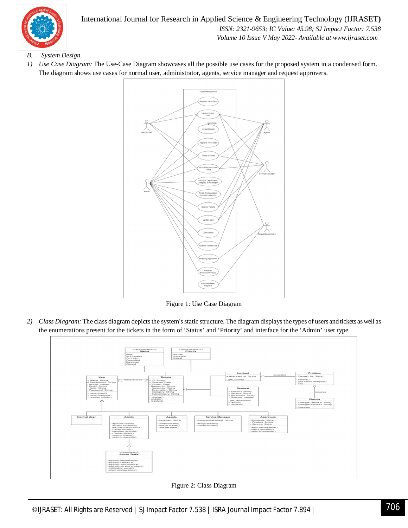

#### International Journal for Research in Applied Science & Engineering Technology (IJRASET**)**  *ISSN: 2321-9653; IC Value: 45.98; SJ Impact Factor: 7.538 Volume 10 Issue V May 2022- Available at www.ijraset.com*

- *B. System Design*
- *1) Use Case Diagram:* The Use-Case Diagram showcases all the possible use cases for the proposed system in a condensed form. The diagram shows use cases for normal user, administrator, agents, service manager and request approvers.



Figure 1: Use Case Diagram

*2) Class Diagram:* The class diagram depicts the system's static structure. The diagram displays the types of users and tickets as well as the enumerations present for the tickets in the form of 'Status' and 'Priority' and interface for the 'Admin' user type.



Figure 2: Class Diagram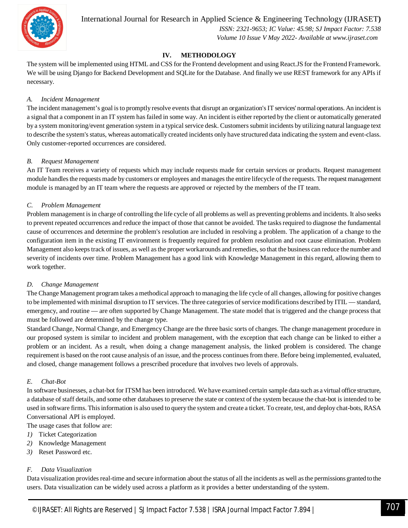

International Journal for Research in Applied Science & Engineering Technology (IJRASET**)**

 *ISSN: 2321-9653; IC Value: 45.98; SJ Impact Factor: 7.538 Volume 10 Issue V May 2022- Available at www.ijraset.com*

#### **IV. METHODOLOGY**

The system will be implemented using HTML and CSS for the Frontend development and using React.JS for the Frontend Framework. We will be using Django for Backend Development and SQLite for the Database. And finally we use REST framework for any APIs if necessary.

#### *A. Incident Management*

The incident management's goal is to promptly resolve events that disrupt an organization's IT services' normal operations. An incident is a signal that a component in an IT system has failed in some way. An incident is either reported by the client or automatically generated by a system monitoring/event generation system in a typical service desk. Customers submit incidents by utilizing natural language text to describe the system's status, whereas automatically created incidents only have structured data indicating the system and event-class. Only customer-reported occurrences are considered.

#### *B. Request Management*

An IT Team receives a variety of requests which may include requests made for certain services or products. Request management module handles the requests made by customers or employees and manages the entire lifecycle of the requests. The request management module is managed by an IT team where the requests are approved or rejected by the members of the IT team.

#### *C. Problem Management*

Problem management is in charge of controlling the life cycle of all problems as well as preventing problems and incidents. It also seeks to prevent repeated occurrences and reduce the impact of those that cannot be avoided. The tasks required to diagnose the fundamental cause of occurrences and determine the problem's resolution are included in resolving a problem. The application of a change to the configuration item in the existing IT environment is frequently required for problem resolution and root cause elimination. Problem Management also keeps track of issues, as well as the proper workarounds and remedies, so that the business can reduce the number and severity of incidents over time. Problem Management has a good link with Knowledge Management in this regard, allowing them to work together.

#### *D. Change Management*

The Change Management program takes a methodical approach to managing the life cycle of all changes, allowing for positive changes to be implemented with minimal disruption to IT services. The three categories of service modifications described by ITIL — standard, emergency, and routine — are often supported by Change Management. The state model that is triggered and the change process that must be followed are determined by the change type.

Standard Change, Normal Change, and Emergency Change are the three basic sorts of changes. The change management procedure in our proposed system is similar to incident and problem management, with the exception that each change can be linked to either a problem or an incident. As a result, when doing a change management analysis, the linked problem is considered. The change requirement is based on the root cause analysis of an issue, and the process continues from there. Before being implemented, evaluated, and closed, change management follows a prescribed procedure that involves two levels of approvals.

#### *E. Chat-Bot*

In software businesses, a chat-bot for ITSM has been introduced. We have examined certain sample data such as a virtual office structure, a database of staff details, and some other databases to preserve the state or context of the system because the chat-bot is intended to be used in software firms. This information is also used to query the system and create a ticket. To create, test, and deploy chat-bots, RASA Conversational API is employed.

The usage cases that follow are:

- *1)* Ticket Categorization
- *2)* Knowledge Management
- *3)* Reset Password etc.

#### *F. Data Visualization*

Data visualization provides real-time and secure information about the status of all the incidents as well as the permissions granted to the users. Data visualization can be widely used across a platform as it provides a better understanding of the system.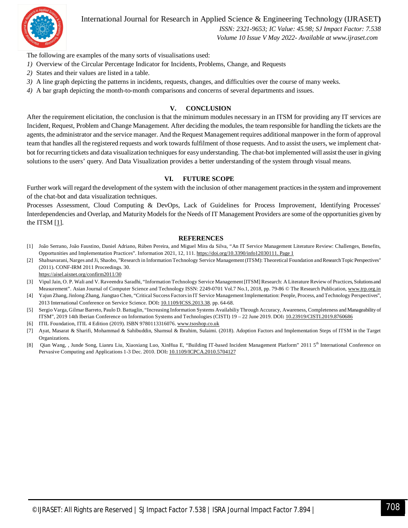

International Journal for Research in Applied Science & Engineering Technology (IJRASET**)**

 *ISSN: 2321-9653; IC Value: 45.98; SJ Impact Factor: 7.538*

 *Volume 10 Issue V May 2022- Available at www.ijraset.com*

The following are examples of the many sorts of visualisations used:

- *1)* Overview of the Circular Percentage Indicator for Incidents, Problems, Change, and Requests
- *2)* States and their values are listed in a table.
- *3)* A line graph depicting the patterns in incidents, requests, changes, and difficulties over the course of many weeks.
- *4)* A bar graph depicting the month-to-month comparisons and concerns of several departments and issues.

#### **V. CONCLUSION**

After the requirement elicitation, the conclusion is that the minimum modules necessary in an ITSM for providing any IT services are Incident, Request, Problem and Change Management. After deciding the modules, the team responsible for handling the tickets are the agents, the administrator and the service manager. And the Request Management requires additional manpower in the form of approval team that handles all the registered requests and work towards fulfilment of those requests. And to assist the users, we implement chatbot for recurring tickets and data visualization techniques for easy understanding. The chat-bot implemented will assist the user in giving solutions to the users' query. And Data Visualization provides a better understanding of the system through visual means.

#### **VI. FUTURE SCOPE**

Further work will regard the development of the system with the inclusion of other management practices in the system and improvement of the chat-bot and data visualization techniques.

Processes Assessment, Cloud Computing & DevOps, Lack of Guidelines for Process Improvement, Identifying Processes' Interdependencies and Overlap, and Maturity Models for the Needs of IT Management Providers are some of the opportunities given by the ITSM  $[1]$ .

#### **REFERENCES**

- [1] João Serrano, João Faustino, Daniel Adriano, Rúben Pereira, and Miguel Mira da Silva, "An IT Service Management Literature Review: Challenges, Benefits, Opportunities and Implementation Practices". Information 2021, 12, 111. https://doi.org/10.3390/info12030111. Page 1
- [2] Shahsavarani, Narges and Ji, Shaobo, "Research in Information Technology Service Management (ITSM): Theoretical Foundation and Research Topic Perspectives" (2011). CONF-IRM 2011 Proceedings. 30. https://aisel.aisnet.org/confirm2011/30
- [3] Vipul Jain, O. P. Wali and V. Raveendra Saradhi, "Information Technology Service Management [ITSM] Research: A Literature Review of Practices, Solutions and Measurement". Asian Journal of Computer Science and Technology ISSN: 2249-0701 Vol.7 No.1, 2018, pp. 79-86 © The Research Publication, www.trp.org.in
- [4] Yajun Zhang, Jinlong Zhang, Jiangtao Chen, "Critical Success Factors in IT Service Management Implementation: People, Process, and Technology Perspectives", 2013 International Conference on Service Science. DOI**:** 10.1109/ICSS.2013.38. pp. 64-68.
- [5] Sergio Varga, Gilmar Barreto, Paulo D. Battaglin, "Increasing Information Systems Availabiliy Through Accuracy, Awareness, Completeness and Manageability of ITSM", 2019 14th Iberian Conference on Information Systems and Technologies (CISTI) 19 – 22 June 2019. DOI**:** 10.23919/CISTI.2019.8760686
- [6] ITIL Foundation, ITIL 4 Edition (2019). ISBN 9780113316076. www.tsoshop.co.uk
- [7] Ayat, Masarat & Sharifi, Mohammad & Sahibuddin, Shamsul & Ibrahim, Sulaimi. (2018). Adoption Factors and Implementation Steps of ITSM in the Target Organizations.
- [8] Qian Wang, , Junde Song, Lianru Liu, Xiaoxiang Luo, XinHua E, "Building IT-based Incident Management Platform" 2011 5<sup>th</sup> International Conference on Pervasive Computing and Applications 1-3 Dec. 2010. DOI**:** 10.1109/ICPCA.2010.5704127